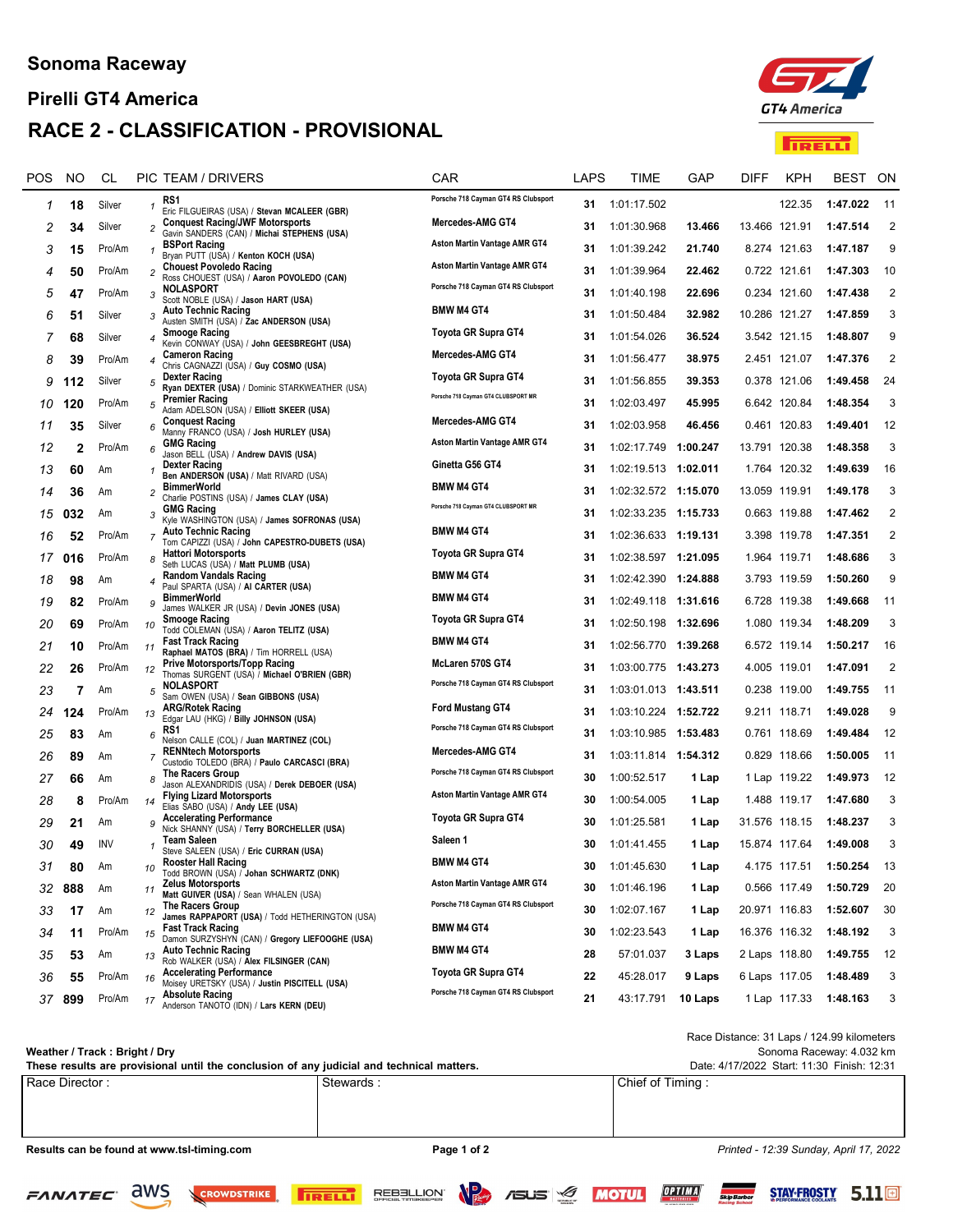# Pirelli GT4 America RACE 2 - CLASSIFICATION - PROVISIONAL



**TRELL** 

| POS | <b>NO</b> | CL         |                         | PIC TEAM / DRIVERS                                                                    | CAR                                 | LAPS | TIME                   | GAP      | <b>DIFF</b>   | <b>KPH</b>    | BEST     | ON             |
|-----|-----------|------------|-------------------------|---------------------------------------------------------------------------------------|-------------------------------------|------|------------------------|----------|---------------|---------------|----------|----------------|
| 1   | 18        | Silver     | $\mathbf{1}$            | RS1<br>Eric FILGUEIRAS (USA) / Stevan MCALEER (GBR)                                   | Porsche 718 Cayman GT4 RS Clubsport | 31   | 1:01:17.502            |          |               | 122.35        | 1:47.022 | $-11$          |
| 2   | 34        | Silver     | $\overline{c}$          | <b>Conquest Racing/JWF Motorsports</b><br>Gavin SANDERS (CAN) / Michai STEPHENS (USA) | Mercedes-AMG GT4                    | 31   | 1:01:30.968            | 13.466   | 13.466 121.91 |               | 1:47.514 | $\overline{2}$ |
| 3   | 15        | Pro/Am     | 1                       | <b>BSPort Racing</b><br>Bryan PUTT (USA) / Kenton KOCH (USA)                          | <b>Aston Martin Vantage AMR GT4</b> | 31   | 1:01:39.242            | 21.740   |               | 8.274 121.63  | 1:47.187 | 9              |
| 4   | 50        | Pro/Am     | $\overline{\mathbf{c}}$ | <b>Chouest Povoledo Racing</b><br>Ross CHOUEST (USA) / Aaron POVOLEDO (CAN)           | Aston Martin Vantage AMR GT4        | 31   | 1:01:39.964            | 22.462   |               | 0.722 121.61  | 1:47.303 | 10             |
| 5   | 47        | Pro/Am     | 3                       | <b>NOLASPORT</b><br>Scott NOBLE (USA) / Jason HART (USA)                              | Porsche 718 Cayman GT4 RS Clubsport | 31   | 1:01:40.198            | 22.696   |               | 0.234 121.60  | 1:47.438 | $\overline{2}$ |
| 6   | 51        | Silver     | 3                       | <b>Auto Technic Racing</b><br>Austen SMITH (USA) / Zac ANDERSON (USA)                 | <b>BMW M4 GT4</b>                   | 31   | 1:01:50.484            | 32.982   | 10.286 121.27 |               | 1:47.859 | 3              |
| 7   | 68        | Silver     | 4                       | <b>Smooge Racing</b><br>Kevin CONWAY (USA) / John GEESBREGHT (USA)                    | Toyota GR Supra GT4                 | 31   | 1:01:54.026            | 36.524   |               | 3.542 121.15  | 1:48.807 | 9              |
| 8   | 39        | Pro/Am     | 4                       | <b>Cameron Racing</b><br>Chris CAGNAZZI (USA) / Guy COSMO (USA)                       | Mercedes-AMG GT4                    | 31   | 1:01:56.477            | 38.975   |               | 2.451 121.07  | 1:47.376 | 2              |
| 9   | 112       | Silver     | 5                       | <b>Dexter Racing</b><br>Ryan DEXTER (USA) / Dominic STARKWEATHER (USA)                | <b>Toyota GR Supra GT4</b>          | 31   | 1:01:56.855            | 39.353   |               | 0.378 121.06  | 1:49.458 | 24             |
| 10  | 120       | Pro/Am     | 5                       | <b>Premier Racing</b><br>Adam ADELSON (USA) / Elliott SKEER (USA)                     | Porsche 718 Cayman GT4 CLUBSPORT MR | 31   | 1:02:03.497            | 45.995   |               | 6.642 120.84  | 1:48.354 | 3              |
| 11  | 35        | Silver     | 6                       | <b>Conquest Racing</b><br>Manny FRANCO (USA) / Josh HURLEY (USA)                      | Mercedes-AMG GT4                    | 31   | 1:02:03.958            | 46.456   |               | 0.461 120.83  | 1:49.401 | 12             |
| 12  | 2         | Pro/Am     | 6                       | <b>GMG Racing</b><br>Jason BELL (USA) / Andrew DAVIS (USA)                            | Aston Martin Vantage AMR GT4        | 31   | 1:02:17.749            | 1:00.247 | 13.791 120.38 |               | 1:48.358 | 3              |
| 13  | 60        | Am         |                         | <b>Dexter Racing</b><br>Ben ANDERSON (USA) / Matt RIVARD (USA)                        | Ginetta G56 GT4                     | 31   | 1:02:19.513 1:02.011   |          |               | 1.764 120.32  | 1:49.639 | 16             |
| 14  | 36        | Am         | $\overline{c}$          | <b>BimmerWorld</b><br>Charlie POSTINS (USA) / James CLAY (USA)                        | <b>BMW M4 GT4</b>                   | 31   | 1:02:32.572 1:15.070   |          | 13.059 119.91 |               | 1:49.178 | 3              |
| 15  | 032       | Am         | 3                       | <b>GMG Racing</b><br>Kyle WASHINGTON (USA) / James SOFRONAS (USA)                     | Porsche 718 Cayman GT4 CLUBSPORT MR | 31   | 1:02:33.235 1:15.733   |          |               | 0.663 119.88  | 1:47.462 | $\overline{2}$ |
| 16  | 52        | Pro/Am     | $\overline{7}$          | <b>Auto Technic Racing</b><br>Tom CAPIZZI (USA) / John CAPESTRO-DUBETS (USA)          | <b>BMW M4 GT4</b>                   | 31   | 1:02:36.633 1:19.131   |          |               | 3.398 119.78  | 1:47.351 | $\overline{2}$ |
| 17  | 016       | Pro/Am     | 8                       | <b>Hattori Motorsports</b><br>Seth LUCAS (USA) / Matt PLUMB (USA)                     | Toyota GR Supra GT4                 | 31   |                        |          |               | 1.964 119.71  | 1:48.686 | 3              |
| 18  | 98        | Am         | 4                       | <b>Random Vandals Racing</b><br>Paul SPARTA (USA) / AI CARTER (USA)                   | <b>BMW M4 GT4</b>                   | 31   | 1:02:42.390 1:24.888   |          |               | 3.793 119.59  | 1:50.260 | 9              |
| 19  | 82        | Pro/Am     | 9                       | <b>BimmerWorld</b><br>James WALKER JR (USA) / Devin JONES (USA)                       | <b>BMW M4 GT4</b>                   | 31   | 1:02:49.118 1:31.616   |          |               | 6.728 119.38  | 1:49.668 | 11             |
| 20  | 69        | Pro/Am     | 10                      | <b>Smooge Racing</b><br>Todd COLEMAN (USA) / Aaron TELITZ (USA)                       | Toyota GR Supra GT4                 | 31   | 1:02:50.198 1:32.696   |          |               | 1.080 119.34  | 1:48.209 | 3              |
| 21  | 10        | Pro/Am     | 11                      | <b>Fast Track Racing</b><br>Raphael MATOS (BRA) / Tim HORRELL (USA)                   | <b>BMW M4 GT4</b>                   | 31   | 1:02:56.770            | 1:39.268 |               | 6.572 119.14  | 1:50.217 | 16             |
| 22  | 26        | Pro/Am     | 12                      | <b>Prive Motorsports/Topp Racing</b><br>Thomas SURGENT (USA) / Michael O'BRIEN (GBR)  | McLaren 570S GT4                    | 31   | 1:03:00.775 1:43.273   |          |               | 4.005 119.01  | 1:47.091 | $\overline{2}$ |
| 23  | 7         | Am         | 5                       | <b>NOLASPORT</b><br>Sam OWEN (USA) / Sean GIBBONS (USA)                               | Porsche 718 Cayman GT4 RS Clubsport | 31   | 1:03:01.013 1:43.511   |          |               | 0.238 119.00  | 1:49.755 | 11             |
| 24  | 124       | Pro/Am     | 13                      | <b>ARG/Rotek Racing</b><br>Edgar LAU (HKG) / Billy JOHNSON (USA)                      | <b>Ford Mustang GT4</b>             | 31   | 1:03:10.224            | 1:52.722 |               | 9.211 118.71  | 1:49.028 | 9              |
| 25  | 83        | Am         | 6                       | RS1<br>Nelson CALLE (COL) / Juan MARTINEZ (COL)                                       | Porsche 718 Cayman GT4 RS Clubsport | 31   | 1:03:10.985 1:53.483   |          |               | 0.761 118.69  | 1:49.484 | 12             |
| 26  | 89        | Am         | $\overline{7}$          | <b>RENNtech Motorsports</b><br>Custodio TOLEDO (BRA) / Paulo CARCASCI (BRA)           | Mercedes-AMG GT4                    | 31   | 1:03:11.814   1:54.312 |          |               | 0.829 118.66  | 1:50.005 | 11             |
| 27  | 66        | Am         | 8                       | The Racers Group<br>Jason ALEXANDRIDIS (USA) / Derek DEBOER (USA)                     | Porsche 718 Cayman GT4 RS Clubsport | 30   | 1:00:52.517            | 1 Lap    |               | 1 Lap 119.22  | 1:49.973 | 12             |
| 28  | 8         | Pro/Am     | 14                      | <b>Flying Lizard Motorsports</b><br>Elias SABO (USA) / Andy LEE (USA)                 | Aston Martin Vantage AMR GT4        | 30   | 1:00:54.005            | 1 Lap    |               | 1.488 119.17  | 1:47.680 | 3              |
| 29  | 21        | Am         | 9                       | <b>Accelerating Performance</b><br>Nick SHANNY (USA) / Terry BORCHELLER (USA)         | Toyota GR Supra GT4                 | 30   | 1:01:25.581            | 1 Lap    | 31.576 118.15 |               | 1:48.237 | 3              |
| 30  | 49        | <b>INV</b> |                         | Team Saleen<br>Steve SALEEN (USA) / Eric CURRAN (USA)                                 | Saleen 1                            | 30   | 1:01:41.455            | 1 Lap    | 15.874 117.64 |               | 1:49.008 | 3              |
| 31  | 80        | Am         | 10                      | <b>Rooster Hall Racing</b><br>Todd BROWN (USA) / Johan SCHWARTZ (DNK)                 | <b>BMW M4 GT4</b>                   | 30   | 1:01:45.630            | 1 Lap    |               | 4.175 117.51  | 1:50.254 | 13             |
| 32  | 888       | Am         | 11                      | <b>Zelus Motorsports</b><br>Matt GUIVER (USA) / Sean WHALEN (USA)                     | <b>Aston Martin Vantage AMR GT4</b> | 30   | 1:01:46.196            | 1 Lap    |               | 0.566 117.49  | 1:50.729 | 20             |
| 33  | 17        | Am         | 12                      | The Racers Group<br>James RAPPAPORT (USA) / Todd HETHERINGTON (USA)                   | Porsche 718 Cayman GT4 RS Clubsport | 30   | 1:02:07.167            | 1 Lap    | 20.971 116.83 |               | 1:52.607 | 30             |
| 34  | 11        | Pro/Am     | 15                      | <b>Fast Track Racing</b><br>Damon SURZYSHYN (CAN) / Gregory LIEFOOGHE (USA)           | <b>BMW M4 GT4</b>                   | 30   | 1:02:23.543            | 1 Lap    |               | 16.376 116.32 | 1:48.192 | 3              |
| 35  | 53        | Am         | 13                      | <b>Auto Technic Racing</b><br>Rob WALKER (USA) / Alex FILSINGER (CAN)                 | <b>BMW M4 GT4</b>                   | 28   | 57:01.037              | 3 Laps   | 2 Laps 118.80 |               | 1:49.755 | 12             |
| 36  | 55        | Pro/Am     | 16                      | <b>Accelerating Performance</b><br>Moisey URETSKY (USA) / Justin PISCITELL (USA)      | Toyota GR Supra GT4                 | 22   | 45:28.017              | 9 Laps   | 6 Laps 117.05 |               | 1:48.489 | 3              |
|     | 37 899    | Pro/Am     | 17                      | <b>Absolute Racing</b><br>Anderson TANOTO (IDN) / Lars KERN (DEU)                     | Porsche 718 Cayman GT4 RS Clubsport | 21   | 43:17.791              | 10 Laps  |               | 1 Lap 117.33  | 1:48.163 | 3              |
|     |           |            |                         |                                                                                       |                                     |      |                        |          |               |               |          |                |

#### Weather / Track : Bright / Dry

Sonoma Raceway: 4.032 km Race Distance: 31 Laps / 124.99 kilometers

Race Director : Stewards : Stewards : Stewards : Chief of Timing : Stewards : Stewards : Stewards : Chief of Timing : These results are provisional until the conclusion of any judicial and technical matters. Date: 4/17/2022 Start: 11:30 Finish: 12:31

REBELLION'

**TRELL** 

Results can be found at www.tsl-timing.com example and page 1 of 2 Page 1 of 2 Printed - 12:39 Sunday, April 17, 2022

CROWDSTRIKE

 $\sqrt{P_{\text{eff}}}$  /  $\frac{1}{\sqrt{2}}$ 

STAY-FROSTY 5.11<sup>[9]</sup>

OPTIMA

**Skip Barber** 

**MOTUL**